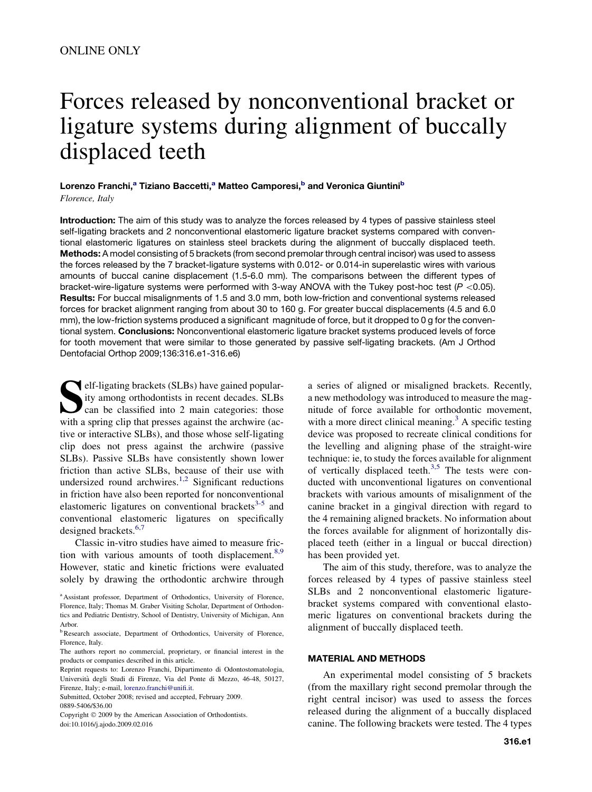# Forces released by nonconventional bracket or ligature systems during alignment of buccally displaced teeth

# Lorenzo Franchi,<sup>a</sup> Tiziano Baccetti,<sup>a</sup> Matteo Camporesi,<sup>b</sup> and Veronica Giuntini<sup>b</sup> Florence, Italy

Introduction: The aim of this study was to analyze the forces released by 4 types of passive stainless steel self-ligating brackets and 2 nonconventional elastomeric ligature bracket systems compared with conventional elastomeric ligatures on stainless steel brackets during the alignment of buccally displaced teeth. Methods: A model consisting of 5 brackets (from second premolar through central incisor) was used to assess the forces released by the 7 bracket-ligature systems with 0.012- or 0.014-in superelastic wires with various amounts of buccal canine displacement (1.5-6.0 mm). The comparisons between the different types of bracket-wire-ligature systems were performed with 3-way ANOVA with the Tukey post-hoc test (*P* \0.05). Results: For buccal misalignments of 1.5 and 3.0 mm, both low-friction and conventional systems released forces for bracket alignment ranging from about 30 to 160 g. For greater buccal displacements (4.5 and 6.0 mm), the low-friction systems produced a significant magnitude of force, but it dropped to 0 g for the conventional system. Conclusions: Nonconventional elastomeric ligature bracket systems produced levels of force for tooth movement that were similar to those generated by passive self-ligating brackets. (Am J Orthod Dentofacial Orthop 2009;136:316.e1-316.e6)

**Self-ligating brackets (SLBs) have gained popular-**<br>ity among orthodontists in recent decades. SLBs<br>can be classified into 2 main categories: those<br>with a spring clin that presses against the archwire (acity among orthodontists in recent decades. SLBs can be classified into 2 main categories: those with a spring clip that presses against the archwire (active or interactive SLBs), and those whose self-ligating clip does not press against the archwire (passive SLBs). Passive SLBs have consistently shown lower friction than active SLBs, because of their use with undersized round archwires.<sup>[1,2](#page-5-0)</sup> Significant reductions in friction have also been reported for nonconventional elastomeric ligatures on conventional brackets<sup>[3-5](#page-5-0)</sup> and conventional elastomeric ligatures on specifically designed brackets.<sup>[6,7](#page-5-0)</sup>

Classic in-vitro studies have aimed to measure friction with various amounts of tooth displacement. $8.9$ However, static and kinetic frictions were evaluated solely by drawing the orthodontic archwire through

<sup>a</sup> Assistant professor, Department of Orthodontics, University of Florence, Florence, Italy; Thomas M. Graber Visiting Scholar, Department of Orthodontics and Pediatric Dentistry, School of Dentistry, University of Michigan, Ann Arbor.

Submitted, October 2008; revised and accepted, February 2009. 0889-5406/\$36.00

Copyright © 2009 by the American Association of Orthodontists. doi:10.1016/j.ajodo.2009.02.016

a series of aligned or misaligned brackets. Recently, a new methodology was introduced to measure the magnitude of force available for orthodontic movement, with a more direct clinical meaning.<sup>[3](#page-5-0)</sup> A specific testing device was proposed to recreate clinical conditions for the levelling and aligning phase of the straight-wire technique: ie, to study the forces available for alignment of vertically displaced teeth.<sup>[3,5](#page-5-0)</sup> The tests were conducted with unconventional ligatures on conventional brackets with various amounts of misalignment of the canine bracket in a gingival direction with regard to the 4 remaining aligned brackets. No information about the forces available for alignment of horizontally displaced teeth (either in a lingual or buccal direction) has been provided yet.

The aim of this study, therefore, was to analyze the forces released by 4 types of passive stainless steel SLBs and 2 nonconventional elastomeric ligaturebracket systems compared with conventional elastomeric ligatures on conventional brackets during the alignment of buccally displaced teeth.

## MATERIAL AND METHODS

An experimental model consisting of 5 brackets (from the maxillary right second premolar through the right central incisor) was used to assess the forces released during the alignment of a buccally displaced canine. The following brackets were tested. The 4 types

<sup>&</sup>lt;sup>b</sup>Research associate, Department of Orthodontics, University of Florence, Florence, Italy.

The authors report no commercial, proprietary, or financial interest in the products or companies described in this article.

Reprint requests to: Lorenzo Franchi, Dipartimento di Odontostomatologia, Universita` degli Studi di Firenze, Via del Ponte di Mezzo, 46-48, 50127, Firenze, Italy; e-mail, [lorenzo.franchi@unifi.it](mailto:lorenzo.franchi@unifi.it).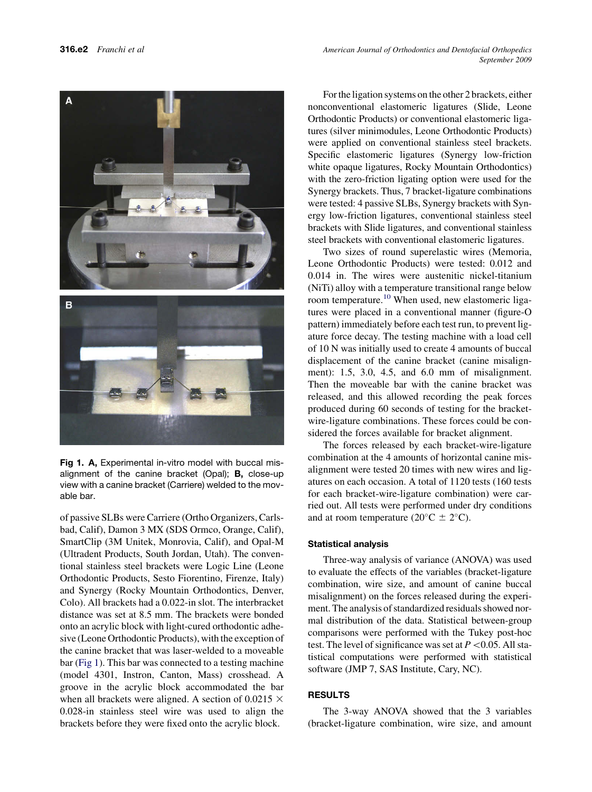

Fig 1. A, Experimental in-vitro model with buccal misalignment of the canine bracket (Opal); B, close-up view with a canine bracket (Carriere) welded to the movable bar.

of passive SLBs were Carriere (Ortho Organizers, Carlsbad, Calif), Damon 3 MX (SDS Ormco, Orange, Calif), SmartClip (3M Unitek, Monrovia, Calif), and Opal-M (Ultradent Products, South Jordan, Utah). The conventional stainless steel brackets were Logic Line (Leone Orthodontic Products, Sesto Fiorentino, Firenze, Italy) and Synergy (Rocky Mountain Orthodontics, Denver, Colo). All brackets had a 0.022-in slot. The interbracket distance was set at 8.5 mm. The brackets were bonded onto an acrylic block with light-cured orthodontic adhesive (Leone Orthodontic Products), with the exception of the canine bracket that was laser-welded to a moveable bar (Fig 1). This bar was connected to a testing machine (model 4301, Instron, Canton, Mass) crosshead. A groove in the acrylic block accommodated the bar when all brackets were aligned. A section of 0.0215  $\times$ 0.028-in stainless steel wire was used to align the brackets before they were fixed onto the acrylic block.

For the ligation systems on the other 2 brackets, either nonconventional elastomeric ligatures (Slide, Leone Orthodontic Products) or conventional elastomeric ligatures (silver minimodules, Leone Orthodontic Products) were applied on conventional stainless steel brackets. Specific elastomeric ligatures (Synergy low-friction white opaque ligatures, Rocky Mountain Orthodontics) with the zero-friction ligating option were used for the Synergy brackets. Thus, 7 bracket-ligature combinations were tested: 4 passive SLBs, Synergy brackets with Synergy low-friction ligatures, conventional stainless steel brackets with Slide ligatures, and conventional stainless steel brackets with conventional elastomeric ligatures.

Two sizes of round superelastic wires (Memoria, Leone Orthodontic Products) were tested: 0.012 and 0.014 in. The wires were austenitic nickel-titanium (NiTi) alloy with a temperature transitional range below room temperature.<sup>[10](#page-5-0)</sup> When used, new elastomeric ligatures were placed in a conventional manner (figure-O pattern) immediately before each test run, to prevent ligature force decay. The testing machine with a load cell of 10 N was initially used to create 4 amounts of buccal displacement of the canine bracket (canine misalignment): 1.5, 3.0, 4.5, and 6.0 mm of misalignment. Then the moveable bar with the canine bracket was released, and this allowed recording the peak forces produced during 60 seconds of testing for the bracketwire-ligature combinations. These forces could be considered the forces available for bracket alignment.

The forces released by each bracket-wire-ligature combination at the 4 amounts of horizontal canine misalignment were tested 20 times with new wires and ligatures on each occasion. A total of 1120 tests (160 tests for each bracket-wire-ligature combination) were carried out. All tests were performed under dry conditions and at room temperature ( $20^{\circ}$ C  $\pm$  2°C).

## Statistical analysis

Three-way analysis of variance (ANOVA) was used to evaluate the effects of the variables (bracket-ligature combination, wire size, and amount of canine buccal misalignment) on the forces released during the experiment. The analysis of standardized residuals showed normal distribution of the data. Statistical between-group comparisons were performed with the Tukey post-hoc test. The level of significance was set at  $P \le 0.05$ . All statistical computations were performed with statistical software (JMP 7, SAS Institute, Cary, NC).

# RESULTS

The 3-way ANOVA showed that the 3 variables (bracket-ligature combination, wire size, and amount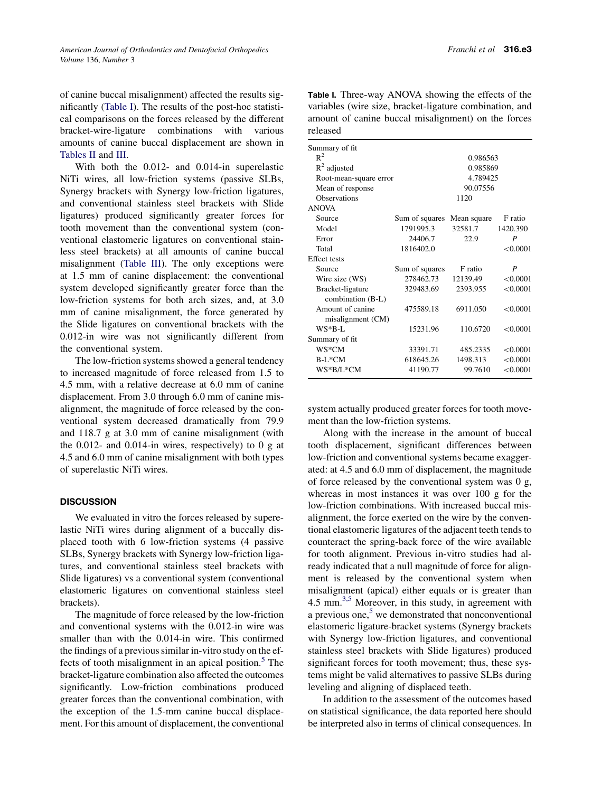of canine buccal misalignment) affected the results significantly (Table I). The results of the post-hoc statistical comparisons on the forces released by the different bracket-wire-ligature combinations with various amounts of canine buccal displacement are shown in [Tables II](#page-3-0) and [III.](#page-4-0)

With both the 0.012- and 0.014-in superelastic NiTi wires, all low-friction systems (passive SLBs, Synergy brackets with Synergy low-friction ligatures, and conventional stainless steel brackets with Slide ligatures) produced significantly greater forces for tooth movement than the conventional system (conventional elastomeric ligatures on conventional stainless steel brackets) at all amounts of canine buccal misalignment [\(Table III](#page-4-0)). The only exceptions were at 1.5 mm of canine displacement: the conventional system developed significantly greater force than the low-friction systems for both arch sizes, and, at 3.0 mm of canine misalignment, the force generated by the Slide ligatures on conventional brackets with the 0.012-in wire was not significantly different from the conventional system.

The low-friction systems showed a general tendency to increased magnitude of force released from 1.5 to 4.5 mm, with a relative decrease at 6.0 mm of canine displacement. From 3.0 through 6.0 mm of canine misalignment, the magnitude of force released by the conventional system decreased dramatically from 79.9 and 118.7 g at 3.0 mm of canine misalignment (with the  $0.012$ - and  $0.014$ -in wires, respectively) to 0 g at 4.5 and 6.0 mm of canine misalignment with both types of superelastic NiTi wires.

## **DISCUSSION**

We evaluated in vitro the forces released by superelastic NiTi wires during alignment of a buccally displaced tooth with 6 low-friction systems (4 passive SLBs, Synergy brackets with Synergy low-friction ligatures, and conventional stainless steel brackets with Slide ligatures) vs a conventional system (conventional elastomeric ligatures on conventional stainless steel brackets).

The magnitude of force released by the low-friction and conventional systems with the 0.012-in wire was smaller than with the 0.014-in wire. This confirmed the findings of a previous similar in-vitro study on the effects of tooth misalignment in an apical position. $5$  The bracket-ligature combination also affected the outcomes significantly. Low-friction combinations produced greater forces than the conventional combination, with the exception of the 1.5-mm canine buccal displacement. For this amount of displacement, the conventional

| Summary of fit         |                |             |          |  |  |  |  |  |  |
|------------------------|----------------|-------------|----------|--|--|--|--|--|--|
| $R^2$                  |                | 0.986563    |          |  |  |  |  |  |  |
| $R^2$ adjusted         |                | 0.985869    |          |  |  |  |  |  |  |
| Root-mean-square error |                | 4.789425    |          |  |  |  |  |  |  |
| Mean of response       |                | 90.07556    |          |  |  |  |  |  |  |
| <b>Observations</b>    |                | 1120        |          |  |  |  |  |  |  |
| <b>ANOVA</b>           |                |             |          |  |  |  |  |  |  |
| Source                 | Sum of squares | Mean square | F ratio  |  |  |  |  |  |  |
| Model                  | 1791995.3      | 32581.7     | 1420.390 |  |  |  |  |  |  |
| Error                  | 24406.7        | 22.9        | P        |  |  |  |  |  |  |
| Total                  | 1816402.0      |             | < 0.0001 |  |  |  |  |  |  |
| <b>Effect</b> tests    |                |             |          |  |  |  |  |  |  |
| Source                 | Sum of squares | F ratio     | P        |  |  |  |  |  |  |
| Wire size (WS)         | 278462.73      | 12139.49    | < 0.0001 |  |  |  |  |  |  |
| Bracket-ligature       | 329483.69      | 2393.955    | < 0.0001 |  |  |  |  |  |  |
| combination (B-L)      |                |             |          |  |  |  |  |  |  |
| Amount of canine       | 475589.18      | 6911.050    | < 0.0001 |  |  |  |  |  |  |
| misalignment (CM)      |                |             |          |  |  |  |  |  |  |
| $WS*B-I.$              | 15231.96       | 110.6720    | < 0.0001 |  |  |  |  |  |  |
| Summary of fit         |                |             |          |  |  |  |  |  |  |
| WS*CM                  | 33391.71       | 485.2335    | < 0.0001 |  |  |  |  |  |  |
| $B-L*CM$               | 618645.26      | 1498.313    | < 0.0001 |  |  |  |  |  |  |
| WS*B/L*CM              | 41190.77       | 99.7610     | < 0.0001 |  |  |  |  |  |  |
|                        |                |             |          |  |  |  |  |  |  |

system actually produced greater forces for tooth movement than the low-friction systems.

Along with the increase in the amount of buccal tooth displacement, significant differences between low-friction and conventional systems became exaggerated: at 4.5 and 6.0 mm of displacement, the magnitude of force released by the conventional system was 0 g, whereas in most instances it was over 100 g for the low-friction combinations. With increased buccal misalignment, the force exerted on the wire by the conventional elastomeric ligatures of the adjacent teeth tends to counteract the spring-back force of the wire available for tooth alignment. Previous in-vitro studies had already indicated that a null magnitude of force for alignment is released by the conventional system when misalignment (apical) either equals or is greater than 4.5 mm. $^{3,5}$  $^{3,5}$  $^{3,5}$  Moreover, in this study, in agreement with a previous one, $5 \times$  edemonstrated that nonconventional elastomeric ligature-bracket systems (Synergy brackets with Synergy low-friction ligatures, and conventional stainless steel brackets with Slide ligatures) produced significant forces for tooth movement; thus, these systems might be valid alternatives to passive SLBs during leveling and aligning of displaced teeth.

In addition to the assessment of the outcomes based on statistical significance, the data reported here should be interpreted also in terms of clinical consequences. In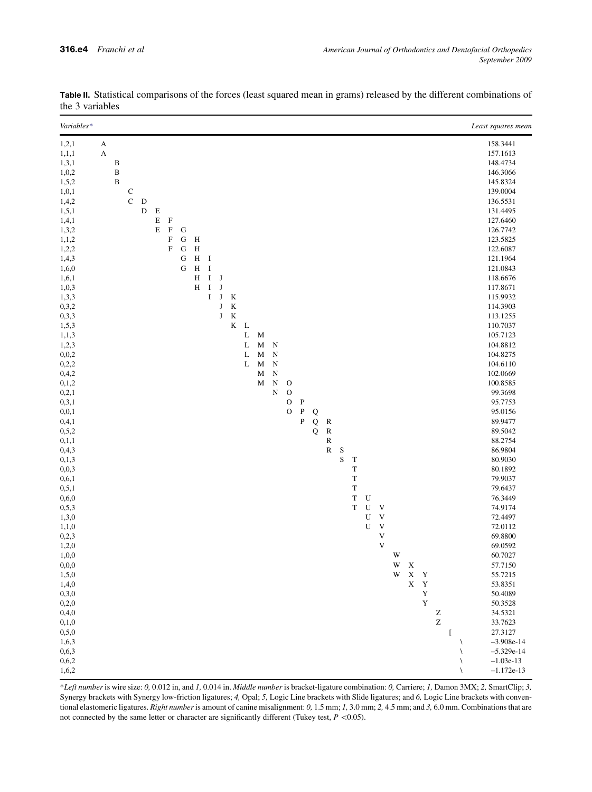\*Left number is wire size: 0, 0.012 in, and 1, 0.014 in. Middle number is bracket-ligature combination: 0, Carriere; 1, Damon 3MX; 2, SmartClip; 3, Synergy brackets with Synergy low-friction ligatures; 4, Opal; 5, Logic Line brackets with Slide ligatures; and 6, Logic Line brackets with conventional elastomeric ligatures. Right number is amount of canine misalignment: 0, 1.5 mm; 1, 3.0 mm; 2, 4.5 mm; and 3, 6.0 mm. Combinations that are not connected by the same letter or character are significantly different (Tukey test,  $P \le 0.05$ ).

 $0,2,0$   $Y$  50.3528  $0,4,0$   $Z$   $34.5321$ 0,1,0  $Z$  33.7623  $0.5,0$  [ 27.3127  $1,6,3 \qquad \qquad -3.908e^{-14}$ 0,6,3  $\sim$  -5.329e-14 0,6,2  $\qquad \qquad \frac{1.03e-13}{1.03e-13}$  $1,6,2 \qquad -1.172e-13$ 

| $\mathfrak{m}$ ) variables |   |              |             |             |             |             |           |   |             |           |         |        |                  |                        |               |              |   |           |   |                |           |                           |   |             |             |                      |
|----------------------------|---|--------------|-------------|-------------|-------------|-------------|-----------|---|-------------|-----------|---------|--------|------------------|------------------------|---------------|--------------|---|-----------|---|----------------|-----------|---------------------------|---|-------------|-------------|----------------------|
| Variables*                 |   |              |             |             |             |             |           |   |             |           |         |        |                  |                        |               |              |   |           |   |                |           |                           |   |             |             | Least squares mean   |
| 1,2,1                      | A |              |             |             |             |             |           |   |             |           |         |        |                  |                        |               |              |   |           |   |                |           |                           |   |             |             | 158.3441             |
| 1, 1, 1                    | A |              |             |             |             |             |           |   |             |           |         |        |                  |                        |               |              |   |           |   |                |           |                           |   |             |             | 157.1613             |
| 1,3,1                      |   | B            |             |             |             |             |           |   |             |           |         |        |                  |                        |               |              |   |           |   |                |           |                           |   |             |             | 148.4734             |
| 1,0,2                      |   | B            |             |             |             |             |           |   |             |           |         |        |                  |                        |               |              |   |           |   |                |           |                           |   |             |             | 146.3066             |
| 1,5,2                      |   | $\, {\bf B}$ |             |             |             |             |           |   |             |           |         |        |                  |                        |               |              |   |           |   |                |           |                           |   |             |             | 145.8324             |
| 1,0,1                      |   |              | C           |             |             |             |           |   |             |           |         |        |                  |                        |               |              |   |           |   |                |           |                           |   |             |             | 139.0004             |
| 1,4,2                      |   |              | $\mathbf C$ | $\mathbf D$ |             |             |           |   |             |           |         |        |                  |                        |               |              |   |           |   |                |           |                           |   |             |             | 136.5531             |
| 1, 5, 1                    |   |              |             | $\mathbf D$ | $\mathbf E$ |             |           |   |             |           |         |        |                  |                        |               |              |   |           |   |                |           |                           |   |             |             | 131.4495             |
| 1,4,1                      |   |              |             |             | $\mathbf E$ | $\mathbf F$ |           |   |             |           |         |        |                  |                        |               |              |   |           |   |                |           |                           |   |             |             | 127.6460             |
| 1,3,2                      |   |              |             |             | E           | $\mathbf F$ | ${\bf G}$ |   |             |           |         |        |                  |                        |               |              |   |           |   |                |           |                           |   |             |             | 126.7742             |
| 1, 1, 2                    |   |              |             |             |             | $\mathbf F$ | G         | H |             |           |         |        |                  |                        |               |              |   |           |   |                |           |                           |   |             |             | 123.5825             |
| 1,2,2                      |   |              |             |             |             | $\mathbf F$ | ${\bf G}$ | H |             |           |         |        |                  |                        |               |              |   |           |   |                |           |                           |   |             |             | 122.6087             |
| 1,4,3                      |   |              |             |             |             |             | G         | H | $\mathbf I$ |           |         |        |                  |                        |               |              |   |           |   |                |           |                           |   |             |             | 121.1964             |
| 1,6,0                      |   |              |             |             |             |             | G         | H | $\bf I$     |           |         |        |                  |                        |               |              |   |           |   |                |           |                           |   |             |             | 121.0843             |
| 1,6,1                      |   |              |             |             |             |             |           | H | $\rm I$     | J         |         |        |                  |                        |               |              |   |           |   |                |           |                           |   |             |             | 118.6676             |
| 1,0,3                      |   |              |             |             |             |             |           | H | $\bf I$     | ${\bf J}$ |         |        |                  |                        |               |              |   |           |   |                |           |                           |   |             |             | 117.8671             |
| 1,3,3                      |   |              |             |             |             |             |           |   | $\bf I$     | ${\bf J}$ | $\rm K$ |        |                  |                        |               |              |   |           |   |                |           |                           |   |             |             | 115.9932             |
| 0, 3, 2                    |   |              |             |             |             |             |           |   |             | ${\bf J}$ | $\bf K$ |        |                  |                        |               |              |   |           |   |                |           |                           |   |             |             | 114.3903             |
| 0,3,3                      |   |              |             |             |             |             |           |   |             | ${\bf J}$ | $\bf K$ |        |                  |                        |               |              |   |           |   |                |           |                           |   |             |             | 113.1255             |
| 1,5,3                      |   |              |             |             |             |             |           |   |             |           | K       | L      |                  |                        |               |              |   |           |   |                |           |                           |   |             |             | 110.7037             |
| 1,1,3                      |   |              |             |             |             |             |           |   |             |           |         | L      | M                |                        |               |              |   |           |   |                |           |                           |   |             |             | 105.7123             |
| 1,2,3                      |   |              |             |             |             |             |           |   |             |           |         | L<br>L | $\mathbf M$<br>M | N                      |               |              |   |           |   |                |           |                           |   |             |             | 104.8812             |
| 0,0,2                      |   |              |             |             |             |             |           |   |             |           |         | L      | M                | ${\bf N}$<br>${\bf N}$ |               |              |   |           |   |                |           |                           |   |             |             | 104.8275<br>104.6110 |
| 0,2,2                      |   |              |             |             |             |             |           |   |             |           |         |        | M                | ${\bf N}$              |               |              |   |           |   |                |           |                           |   |             |             | 102.0669             |
| 0,4,2<br>0,1,2             |   |              |             |             |             |             |           |   |             |           |         |        | M                | N                      | $\mathcal{O}$ |              |   |           |   |                |           |                           |   |             |             | 100.8585             |
| 0, 2, 1                    |   |              |             |             |             |             |           |   |             |           |         |        |                  | $\mathbf N$            | $\mathbf O$   |              |   |           |   |                |           |                           |   |             |             | 99.3698              |
| 0,3,1                      |   |              |             |             |             |             |           |   |             |           |         |        |                  |                        | $\mathbf O$   | ${\bf P}$    |   |           |   |                |           |                           |   |             |             | 95.7753              |
| 0, 0, 1                    |   |              |             |             |             |             |           |   |             |           |         |        |                  |                        | $\mathbf O$   | ${\bf P}$    | Q |           |   |                |           |                           |   |             |             | 95.0156              |
| 0,4,1                      |   |              |             |             |             |             |           |   |             |           |         |        |                  |                        |               | $\, {\bf P}$ | Q | ${\bf R}$ |   |                |           |                           |   |             |             | 89.9477              |
| 0, 5, 2                    |   |              |             |             |             |             |           |   |             |           |         |        |                  |                        |               |              | Q | ${\bf R}$ |   |                |           |                           |   |             |             | 89.5042              |
| 0,1,1                      |   |              |             |             |             |             |           |   |             |           |         |        |                  |                        |               |              |   | ${\bf R}$ |   |                |           |                           |   |             |             | 88.2754              |
| 0,4,3                      |   |              |             |             |             |             |           |   |             |           |         |        |                  |                        |               |              |   | ${\bf R}$ | S |                |           |                           |   |             |             | 86.9804              |
| 0,1,3                      |   |              |             |             |             |             |           |   |             |           |         |        |                  |                        |               |              |   |           | S | $\mathbf T$    |           |                           |   |             |             | 80.9030              |
| 0,0,3                      |   |              |             |             |             |             |           |   |             |           |         |        |                  |                        |               |              |   |           |   | T              |           |                           |   |             |             | 80.1892              |
| 0,6,1                      |   |              |             |             |             |             |           |   |             |           |         |        |                  |                        |               |              |   |           |   | $\overline{T}$ |           |                           |   |             |             | 79.9037              |
| 0, 5, 1                    |   |              |             |             |             |             |           |   |             |           |         |        |                  |                        |               |              |   |           |   | $\mathbf T$    |           |                           |   |             |             | 79.6437              |
| 0,6,0                      |   |              |             |             |             |             |           |   |             |           |         |        |                  |                        |               |              |   |           |   | T              | U         |                           |   |             |             | 76.3449              |
| 0, 5, 3                    |   |              |             |             |             |             |           |   |             |           |         |        |                  |                        |               |              |   |           |   | $\mathbf T$    | U         | $\mathbf V$               |   |             |             | 74.9174              |
| 1,3,0                      |   |              |             |             |             |             |           |   |             |           |         |        |                  |                        |               |              |   |           |   |                | ${\bf U}$ | $\ensuremath{\mathsf{V}}$ |   |             |             | 72.4497              |
| 1,1,0                      |   |              |             |             |             |             |           |   |             |           |         |        |                  |                        |               |              |   |           |   |                | ${\bf U}$ | $\mathbf V$               |   |             |             | 72.0112              |
| 0,2,3                      |   |              |             |             |             |             |           |   |             |           |         |        |                  |                        |               |              |   |           |   |                |           | V                         |   |             |             | 69.8800              |
| 1,2,0                      |   |              |             |             |             |             |           |   |             |           |         |        |                  |                        |               |              |   |           |   |                |           | V                         |   |             |             | 69.0592              |
| 1,0,0                      |   |              |             |             |             |             |           |   |             |           |         |        |                  |                        |               |              |   |           |   |                |           |                           | W |             |             | 60.7027              |
| 0,0,0                      |   |              |             |             |             |             |           |   |             |           |         |        |                  |                        |               |              |   |           |   |                |           |                           | W | $\mathbf X$ |             | 57.7150              |
| 1,5,0                      |   |              |             |             |             |             |           |   |             |           |         |        |                  |                        |               |              |   |           |   |                |           |                           | W | $\mathbf X$ | $\mathbf Y$ | 55.7215              |
| 1,4,0                      |   |              |             |             |             |             |           |   |             |           |         |        |                  |                        |               |              |   |           |   |                |           |                           |   | $\mathbf X$ | $\mathbf Y$ | 53.8351              |
| 0,3,0                      |   |              |             |             |             |             |           |   |             |           |         |        |                  |                        |               |              |   |           |   |                |           |                           |   |             | Y           | 50.4089              |

<span id="page-3-0"></span>Table II. Statistical comparisons of the forces (least squared mean in grams) released by the different combinations of the 3 variables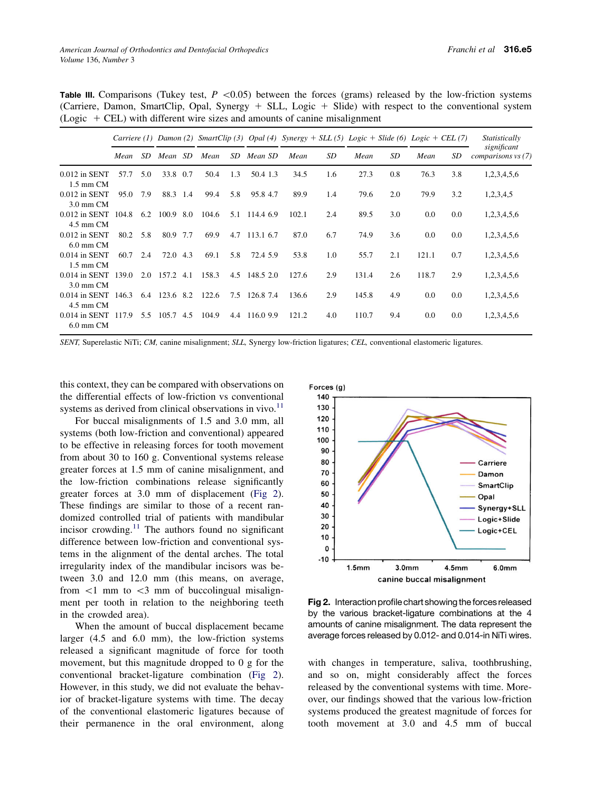|                                  |       |     | Carriere (1) Damon (2) SmartClip (3) Opal (4) Synergy + SLL (5) Logic + Slide (6) Logic + CEL (7) |     |       |     |               |       |     |       |     |       |     | Statistically                     |
|----------------------------------|-------|-----|---------------------------------------------------------------------------------------------------|-----|-------|-----|---------------|-------|-----|-------|-----|-------|-----|-----------------------------------|
|                                  | Mean  | SD. | Mean                                                                                              | SD  | Mean  | SD  | Mean SD       | Mean  | SD  | Mean  | SD  | Mean  | SD  | significant<br>comparisons vs (7) |
| $0.012$ in SENT<br>$1.5$ mm $CM$ | 57.7  | 5.0 | 33.8                                                                                              | 0.7 | 50.4  | 1.3 | 50.4 1.3      | 34.5  | 1.6 | 27.3  | 0.8 | 76.3  | 3.8 | 1,2,3,4,5,6                       |
| $0.012$ in SENT<br>$3.0$ mm $CM$ | 95.0  | 7.9 | 88.3 1.4                                                                                          |     | 99.4  | 5.8 | 95.84.7       | 89.9  | 1.4 | 79.6  | 2.0 | 79.9  | 3.2 | 1,2,3,4,5                         |
| $0.012$ in SENT<br>$4.5$ mm $CM$ | 104.8 |     | 6.2 100.9 8.0                                                                                     |     | 104.6 | 5.1 | 114.4 6.9     | 102.1 | 2.4 | 89.5  | 3.0 | 0.0   | 0.0 | 1,2,3,4,5,6                       |
| $0.012$ in SENT<br>$6.0$ mm $CM$ | 80.2  | 5.8 | 80.9 7.7                                                                                          |     | 69.9  | 4.7 | 113.1 6.7     | 87.0  | 6.7 | 74.9  | 3.6 | 0.0   | 0.0 | 1,2,3,4,5,6                       |
| $0.014$ in SENT<br>$1.5$ mm $CM$ | 60.7  | 2.4 | 72.0 4.3                                                                                          |     | 69.1  | 5.8 | 72.4 5.9      | 53.8  | 1.0 | 55.7  | 2.1 | 121.1 | 0.7 | 1,2,3,4,5,6                       |
| $0.014$ in SENT<br>$3.0$ mm $CM$ | 139.0 | 2.0 | 157.2 4.1                                                                                         |     | 158.3 |     | 4.5 148.5 2.0 | 127.6 | 2.9 | 131.4 | 2.6 | 118.7 | 2.9 | 1,2,3,4,5,6                       |
| $0.014$ in SENT<br>$4.5$ mm $CM$ | 146.3 |     | 6.4 123.6 8.2                                                                                     |     | 122.6 | 7.5 | 126.8 7.4     | 136.6 | 2.9 | 145.8 | 4.9 | 0.0   | 0.0 | 1,2,3,4,5,6                       |
| $0.014$ in SENT<br>$6.0$ mm $CM$ | 117.9 | 5.5 | 105.7                                                                                             | 4.5 | 104.9 | 4.4 | 116.09.9      | 121.2 | 4.0 | 110.7 | 9.4 | 0.0   | 0.0 | 1,2,3,4,5,6                       |

<span id="page-4-0"></span>**Table III.** Comparisons (Tukey test,  $P \le 0.05$ ) between the forces (grams) released by the low-friction systems (Carriere, Damon, SmartClip, Opal, Synergy  $+$  SLL, Logic  $+$  Slide) with respect to the conventional system  $(Logic + CEL)$  with different wire sizes and amounts of canine misalignment

SENT, Superelastic NiTi; CM, canine misalignment; SLL, Synergy low-friction ligatures; CEL, conventional elastomeric ligatures.

this context, they can be compared with observations on the differential effects of low-friction vs conventional systems as derived from clinical observations in vivo. $^{11}$ 

For buccal misalignments of 1.5 and 3.0 mm, all systems (both low-friction and conventional) appeared to be effective in releasing forces for tooth movement from about 30 to 160 g. Conventional systems release greater forces at 1.5 mm of canine misalignment, and the low-friction combinations release significantly greater forces at 3.0 mm of displacement (Fig 2). These findings are similar to those of a recent randomized controlled trial of patients with mandibular incisor crowding. $11$  The authors found no significant difference between low-friction and conventional systems in the alignment of the dental arches. The total irregularity index of the mandibular incisors was between 3.0 and 12.0 mm (this means, on average, from  $\langle 1 \rangle$  mm to  $\langle 3 \rangle$  mm of buccolingual misalignment per tooth in relation to the neighboring teeth in the crowded area).

When the amount of buccal displacement became larger (4.5 and 6.0 mm), the low-friction systems released a significant magnitude of force for tooth movement, but this magnitude dropped to 0 g for the conventional bracket-ligature combination (Fig 2). However, in this study, we did not evaluate the behavior of bracket-ligature systems with time. The decay of the conventional elastomeric ligatures because of their permanence in the oral environment, along



Fig 2. Interaction profile chart showing the forces released by the various bracket-ligature combinations at the 4 amounts of canine misalignment. The data represent the average forces released by 0.012- and 0.014-in NiTi wires.

with changes in temperature, saliva, toothbrushing, and so on, might considerably affect the forces released by the conventional systems with time. Moreover, our findings showed that the various low-friction systems produced the greatest magnitude of forces for tooth movement at 3.0 and 4.5 mm of buccal